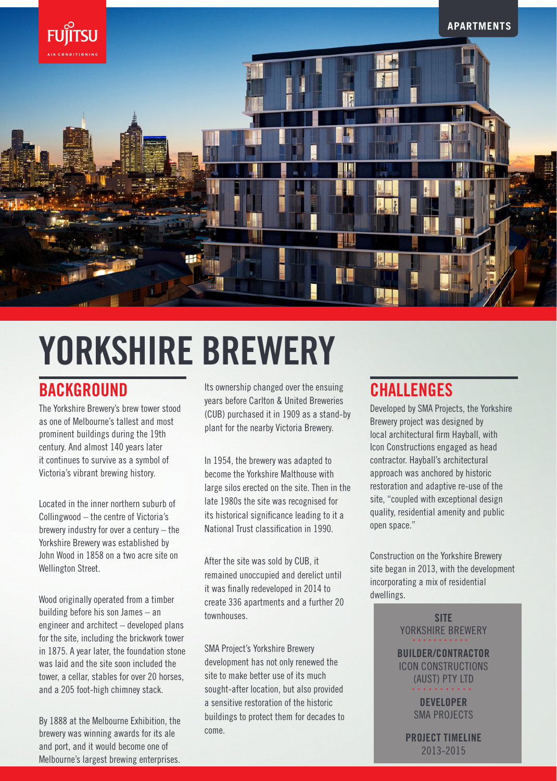

# YORKSHIRE BREWERY

# **BACKGROUND**

The Yorkshire Brewery's brew tower stood as one of Melbourne's tallest and most prominent buildings during the 19th century. And almost 140 years later it continues to survive as a symbol of Victoria's vibrant brewing history.

Located in the inner northern suburb of Collingwood – the centre of Victoria's brewery industry for over a century – the Yorkshire Brewery was established by John Wood in 1858 on a two acre site on Wellington Street.

Wood originally operated from a timber building before his son James – an engineer and architect – developed plans for the site, including the brickwork tower in 1875. A year later, the foundation stone was laid and the site soon included the tower, a cellar, stables for over 20 horses, and a 205 foot-high chimney stack.

By 1888 at the Melbourne Exhibition, the brewery was winning awards for its ale and port, and it would become one of Melbourne's largest brewing enterprises.

Its ownership changed over the ensuing years before Carlton & United Breweries (CUB) purchased it in 1909 as a stand-by plant for the nearby Victoria Brewery.

In 1954, the brewery was adapted to become the Yorkshire Malthouse with large silos erected on the site. Then in the late 1980s the site was recognised for its historical significance leading to it a National Trust classification in 1990.

After the site was sold by CUB, it remained unoccupied and derelict until it was finally redeveloped in 2014 to create 336 apartments and a further 20 townhouses.

SMA Project's Yorkshire Brewery development has not only renewed the site to make better use of its much sought-after location, but also provided a sensitive restoration of the historic buildings to protect them for decades to come.

## **CHALLENGES**

Developed by SMA Projects, the Yorkshire Brewery project was designed by local architectural firm Hayball, with Icon Constructions engaged as head contractor. Hayball's architectural approach was anchored by historic restoration and adaptive re-use of the site, "coupled with exceptional design quality, residential amenity and public open space."

Construction on the Yorkshire Brewery site began in 2013, with the development incorporating a mix of residential dwellings.

> SITE YORKSHIRE BREWERY BUILDER/CONTRACTOR ICON CONSTRUCTIONS (AUST) PTY LTD DEVELOPER SMA PROJECTS

> > PROJECT TIMELINE 2013-2015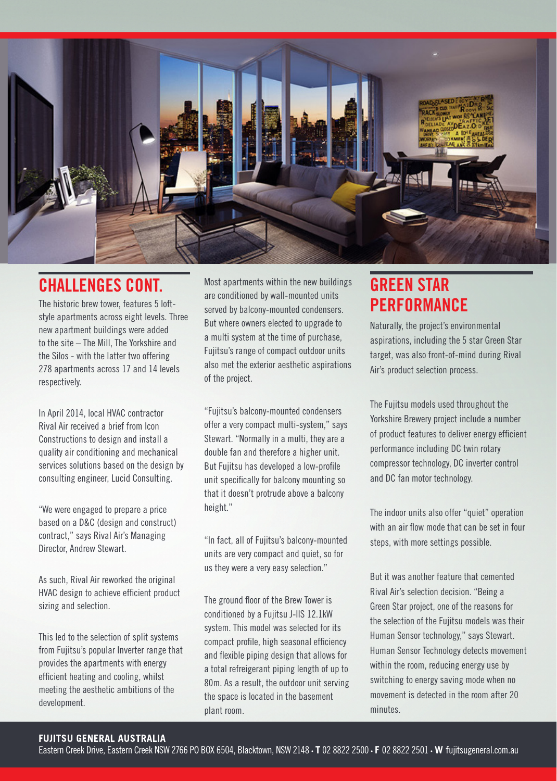

### CHALLENGES CONT.

The historic brew tower, features 5 loftstyle apartments across eight levels. Three new apartment buildings were added to the site – The Mill, The Yorkshire and the Silos - with the latter two offering 278 apartments across 17 and 14 levels respectively.

In April 2014, local HVAC contractor Rival Air received a brief from Icon Constructions to design and install a quality air conditioning and mechanical services solutions based on the design by consulting engineer, Lucid Consulting.

"We were engaged to prepare a price based on a D&C (design and construct) contract," says Rival Air's Managing Director, Andrew Stewart.

As such, Rival Air reworked the original HVAC design to achieve efficient product sizing and selection.

This led to the selection of split systems from Fujitsu's popular Inverter range that provides the apartments with energy efficient heating and cooling, whilst meeting the aesthetic ambitions of the development.

Most apartments within the new buildings are conditioned by wall-mounted units served by balcony-mounted condensers. But where owners elected to upgrade to a multi system at the time of purchase, Fujitsu's range of compact outdoor units also met the exterior aesthetic aspirations of the project.

"Fujitsu's balcony-mounted condensers offer a very compact multi-system," says Stewart. "Normally in a multi, they are a double fan and therefore a higher unit. But Fujitsu has developed a low-profile unit specifically for balcony mounting so that it doesn't protrude above a balcony height."

"In fact, all of Fujitsu's balcony-mounted units are very compact and quiet, so for us they were a very easy selection."

The ground floor of the Brew Tower is conditioned by a Fujitsu J-IIS 12.1kW system. This model was selected for its compact profile, high seasonal efficiency and flexible piping design that allows for a total refreigerant piping length of up to 80m. As a result, the outdoor unit serving the space is located in the basement plant room.

# GREEN STAR **PERFORMANCE**

Naturally, the project's environmental aspirations, including the 5 star Green Star target, was also front-of-mind during Rival Air's product selection process.

The Fujitsu models used throughout the Yorkshire Brewery project include a number of product features to deliver energy efficient performance including DC twin rotary compressor technology, DC inverter control and DC fan motor technology.

The indoor units also offer "quiet" operation with an air flow mode that can be set in four steps, with more settings possible.

But it was another feature that cemented Rival Air's selection decision. "Being a Green Star project, one of the reasons for the selection of the Fujitsu models was their Human Sensor technology," says Stewart. Human Sensor Technology detects movement within the room, reducing energy use by switching to energy saving mode when no movement is detected in the room after 20 minutes.

#### **FUJITSU GENERAL AUSTRALIA**